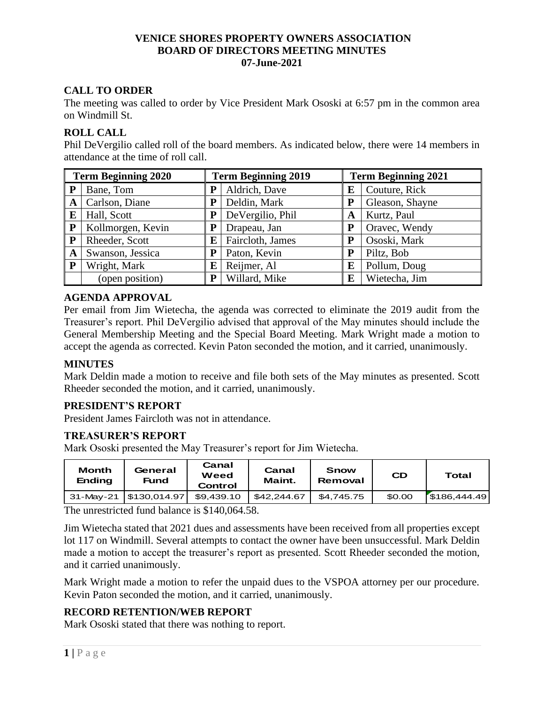# **VENICE SHORES PROPERTY OWNERS ASSOCIATION BOARD OF DIRECTORS MEETING MINUTES 07-June-2021**

# **CALL TO ORDER**

The meeting was called to order by Vice President Mark Ososki at 6:57 pm in the common area on Windmill St.

# **ROLL CALL**

Phil DeVergilio called roll of the board members. As indicated below, there were 14 members in attendance at the time of roll call.

| <b>Term Beginning 2020</b> |                   | <b>Term Beginning 2019</b> |                  | <b>Term Beginning 2021</b> |                 |  |
|----------------------------|-------------------|----------------------------|------------------|----------------------------|-----------------|--|
| P                          | Bane, Tom         | P                          | Aldrich, Dave    | E                          | Couture, Rick   |  |
| A                          | Carlson, Diane    | ${\bf P}$                  | Deldin, Mark     | P                          | Gleason, Shayne |  |
| E                          | Hall, Scott       | P                          | DeVergilio, Phil | A                          | Kurtz, Paul     |  |
| $\mathbf{P}$               | Kollmorgen, Kevin | P                          | Drapeau, Jan     | P                          | Oravec, Wendy   |  |
| $\mathbf{P}$               | Rheeder, Scott    | E                          | Faircloth, James | P                          | Ososki, Mark    |  |
| A                          | Swanson, Jessica  | P                          | Paton, Kevin     | P                          | Piltz, Bob      |  |
| P                          | Wright, Mark      | E                          | Reijmer, Al      | E                          | Pollum, Doug    |  |
|                            | (open position)   | P                          | Willard, Mike    | E                          | Wietecha, Jim   |  |

# **AGENDA APPROVAL**

Per email from Jim Wietecha, the agenda was corrected to eliminate the 2019 audit from the Treasurer's report. Phil DeVergilio advised that approval of the May minutes should include the General Membership Meeting and the Special Board Meeting. Mark Wright made a motion to accept the agenda as corrected. Kevin Paton seconded the motion, and it carried, unanimously.

## **MINUTES**

Mark Deldin made a motion to receive and file both sets of the May minutes as presented. Scott Rheeder seconded the motion, and it carried, unanimously.

# **PRESIDENT'S REPORT**

President James Faircloth was not in attendance.

## **TREASURER'S REPORT**

Mark Ososki presented the May Treasurer's report for Jim Wietecha.

| <b>Month</b><br><b>Ending</b> | General<br>Fund          | Canal<br>Weed<br>Control | Canal<br>Maint. | Snow<br>Removal | <b>CD</b> | Total        |
|-------------------------------|--------------------------|--------------------------|-----------------|-----------------|-----------|--------------|
|                               | 31-May-21   \$130,014.97 | \$9,439.10               | \$42,244.67     | \$4.745.75      | \$0.00    | \$186,444.49 |

The unrestricted fund balance is \$140,064.58.

Jim Wietecha stated that 2021 dues and assessments have been received from all properties except lot 117 on Windmill. Several attempts to contact the owner have been unsuccessful. Mark Deldin made a motion to accept the treasurer's report as presented. Scott Rheeder seconded the motion, and it carried unanimously.

Mark Wright made a motion to refer the unpaid dues to the VSPOA attorney per our procedure. Kevin Paton seconded the motion, and it carried, unanimously.

# **RECORD RETENTION/WEB REPORT**

Mark Ososki stated that there was nothing to report.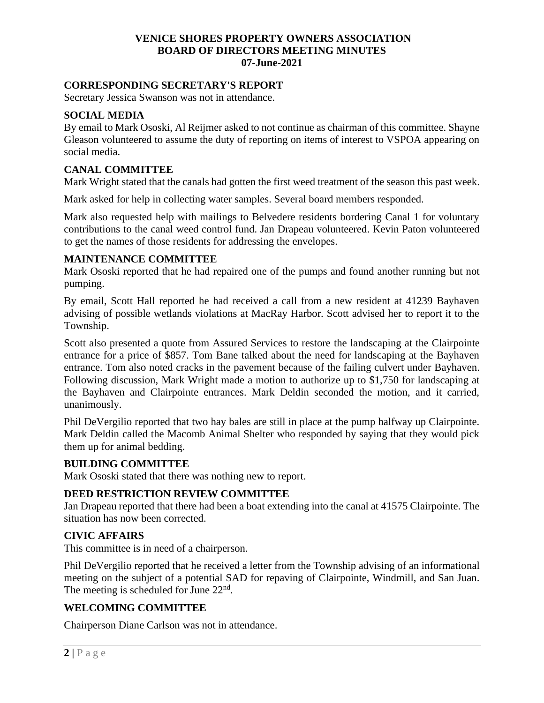# **VENICE SHORES PROPERTY OWNERS ASSOCIATION BOARD OF DIRECTORS MEETING MINUTES 07-June-2021**

#### **CORRESPONDING SECRETARY'S REPORT**

Secretary Jessica Swanson was not in attendance.

#### **SOCIAL MEDIA**

By email to Mark Ososki, Al Reijmer asked to not continue as chairman of this committee. Shayne Gleason volunteered to assume the duty of reporting on items of interest to VSPOA appearing on social media.

#### **CANAL COMMITTEE**

Mark Wright stated that the canals had gotten the first weed treatment of the season this past week.

Mark asked for help in collecting water samples. Several board members responded.

Mark also requested help with mailings to Belvedere residents bordering Canal 1 for voluntary contributions to the canal weed control fund. Jan Drapeau volunteered. Kevin Paton volunteered to get the names of those residents for addressing the envelopes.

#### **MAINTENANCE COMMITTEE**

Mark Ososki reported that he had repaired one of the pumps and found another running but not pumping.

By email, Scott Hall reported he had received a call from a new resident at 41239 Bayhaven advising of possible wetlands violations at MacRay Harbor. Scott advised her to report it to the Township.

Scott also presented a quote from Assured Services to restore the landscaping at the Clairpointe entrance for a price of \$857. Tom Bane talked about the need for landscaping at the Bayhaven entrance. Tom also noted cracks in the pavement because of the failing culvert under Bayhaven. Following discussion, Mark Wright made a motion to authorize up to \$1,750 for landscaping at the Bayhaven and Clairpointe entrances. Mark Deldin seconded the motion, and it carried, unanimously.

Phil DeVergilio reported that two hay bales are still in place at the pump halfway up Clairpointe. Mark Deldin called the Macomb Animal Shelter who responded by saying that they would pick them up for animal bedding.

#### **BUILDING COMMITTEE**

Mark Ososki stated that there was nothing new to report.

#### **DEED RESTRICTION REVIEW COMMITTEE**

Jan Drapeau reported that there had been a boat extending into the canal at 41575 Clairpointe. The situation has now been corrected.

#### **CIVIC AFFAIRS**

This committee is in need of a chairperson.

Phil DeVergilio reported that he received a letter from the Township advising of an informational meeting on the subject of a potential SAD for repaving of Clairpointe, Windmill, and San Juan. The meeting is scheduled for June  $22<sup>nd</sup>$ .

## **WELCOMING COMMITTEE**

Chairperson Diane Carlson was not in attendance.